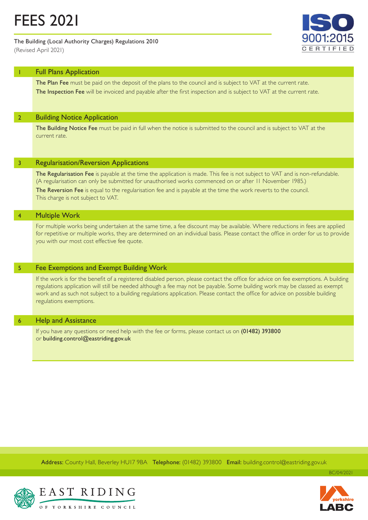## The Building (Local Authority Charges) Regulations 2010

(Revised April 2021)



|                | <b>Full Plans Application</b>                                                                                                                                                                                                                                |
|----------------|--------------------------------------------------------------------------------------------------------------------------------------------------------------------------------------------------------------------------------------------------------------|
|                | The Plan Fee must be paid on the deposit of the plans to the council and is subject to VAT at the current rate.                                                                                                                                              |
|                | The Inspection Fee will be invoiced and payable after the first inspection and is subject to VAT at the current rate.                                                                                                                                        |
|                |                                                                                                                                                                                                                                                              |
|                |                                                                                                                                                                                                                                                              |
| $\overline{2}$ | <b>Building Notice Application</b>                                                                                                                                                                                                                           |
|                | The Building Notice Fee must be paid in full when the notice is submitted to the council and is subject to VAT at the<br>current rate.                                                                                                                       |
|                |                                                                                                                                                                                                                                                              |
|                |                                                                                                                                                                                                                                                              |
| $\overline{3}$ | <b>Regularisation/Reversion Applications</b>                                                                                                                                                                                                                 |
|                | The Regularisation Fee is payable at the time the application is made. This fee is not subject to VAT and is non-refundable.                                                                                                                                 |
|                | (A regularisation can only be submitted for unauthorised works commenced on or after II November 1985.)                                                                                                                                                      |
|                | The Reversion Fee is equal to the regularisation fee and is payable at the time the work reverts to the council.<br>This charge is not subject to VAT.                                                                                                       |
|                |                                                                                                                                                                                                                                                              |
| $\overline{4}$ | <b>Multiple Work</b>                                                                                                                                                                                                                                         |
|                | For multiple works being undertaken at the same time, a fee discount may be available. Where reductions in fees are applied                                                                                                                                  |
|                | for repetitive or multiple works, they are determined on an individual basis. Please contact the office in order for us to provide<br>you with our most cost effective fee quote.                                                                            |
|                |                                                                                                                                                                                                                                                              |
|                |                                                                                                                                                                                                                                                              |
| $\overline{5}$ | Fee Exemptions and Exempt Building Work                                                                                                                                                                                                                      |
|                | If the work is for the benefit of a registered disabled person, please contact the office for advice on fee exemptions. A building                                                                                                                           |
|                | regulations application will still be needed although a fee may not be payable. Some building work may be classed as exempt<br>work and as such not subject to a building regulations application. Please contact the office for advice on possible building |
|                | regulations exemptions.                                                                                                                                                                                                                                      |
|                |                                                                                                                                                                                                                                                              |
| $6\phantom{1}$ | <b>Help and Assistance</b>                                                                                                                                                                                                                                   |
|                | If you have any questions or need help with the fee or forms, please contact us on (01482) 393800                                                                                                                                                            |
|                | or building.control@eastriding.gov.uk                                                                                                                                                                                                                        |
|                |                                                                                                                                                                                                                                                              |
|                |                                                                                                                                                                                                                                                              |

Address: County Hall, Beverley HU17 9BA Telephone: (01482) 393800 Email: building.control@eastriding.gov.uk





yorkshire

BC/04/2021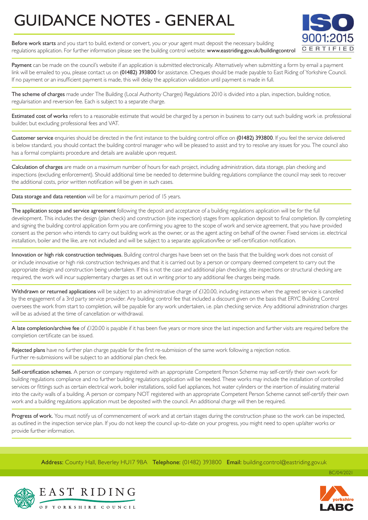## GUIDANCE NOTES - GENERAL



Before work starts and you start to build, extend or convert, you or your agent must deposit the necessary building regulations application. For further information please see the building control website: www.eastriding.gov.uk/buildingcontrol

Payment can be made on the council's website if an application is submitted electronically. Alternatively when submitting a form by email a payment link will be emailed to you, please contact us on (01482) 393800 for assistance. Cheques should be made payable to East Riding of Yorkshire Council. If no payment or an insufficient payment is made, this will delay the application validation until payment is made in full.

The scheme of charges made under The Building (Local Authority Charges) Regulations 2010 is divided into a plan, inspection, building notice, regularisation and reversion fee. Each is subject to a separate charge.

Estimated cost of works refers to a reasonable estimate that would be charged by a person in business to carry out such building work i.e. professional builder, but excluding professional fees and VAT.

Customer service enquiries should be directed in the first instance to the building control office on (01482) 393800. If you feel the service delivered is below standard, you should contact the building control manager who will be pleased to assist and try to resolve any issues for you. The council also has a formal complaints procedure and details are available upon request.

Calculation of charges are made on a maximum number of hours for each project, including administration, data storage, plan checking and inspections (excluding enforcement). Should additional time be needed to determine building regulations compliance the council may seek to recover the additional costs, prior written notification will be given in such cases.

Data storage and data retention will be for a maximum period of 15 years.

The application scope and service agreement following the deposit and acceptance of a building regulations application will be for the full development. This includes the design (plan check) and construction (site inspection) stages from application deposit to final completion. By completing and signing the building control application form you are confirming you agree to the scope of work and service agreement, that you have provided consent as the person who intends to carry out building work as the owner, or as the agent acting on behalf of the owner. Fixed services i.e. electrical installation, boiler and the like, are not included and will be subject to a separate application/fee or self-certification notification.

Innovation or high risk construction techniques. Building control charges have been set on the basis that the building work does not consist of or include innovative or high risk construction techniques and that it is carried out by a person or company deemed competent to carry out the appropriate design and construction being undertaken. If this is not the case and additional plan checking, site inspections or structural checking are required, the work will incur supplementary charges as set out in writing prior to any additional fee charges being made.

Withdrawn or returned applications will be subject to an administrative charge of £120.00, including instances when the agreed service is cancelled by the engagement of a 3rd party service provider. Any building control fee that included a discount given on the basis that ERYC Building Control oversees the work from start to completion, will be payable for any work undertaken, i.e. plan checking service. Any additional administration charges will be as advised at the time of cancellation or withdrawal.

A late completion/archive fee of £120.00 is payable if it has been five years or more since the last inspection and further visits are required before the completion certificate can be issued.

Rejected plans have no further plan charge payable for the first re-submission of the same work following a rejection notice. Further re-submissions will be subject to an additional plan check fee.

Self-certification schemes. A person or company registered with an appropriate Competent Person Scheme may self-certify their own work for building regulations compliance and no further building regulations application will be needed. These works may include the installation of controlled services or fittings such as certain electrical work, boiler installations, solid fuel appliances, hot water cylinders or the insertion of insulating material into the cavity walls of a building. A person or company NOT registered with an appropriate Competent Person Scheme cannot self-certify their own work and a building regulations application must be deposited with the council. An additional charge will then be required.

Progress of work. You must notify us of commencement of work and at certain stages during the construction phase so the work can be inspected, as outlined in the inspection service plan. If you do not keep the council up-to-date on your progress, you might need to open up/alter works or provide further information.

Address: County Hall, Beverley HU17 9BA Telephone: (01482) 393800 Email: building.control@eastriding.gov.uk



EAST RIDING DE YORKSHIRE COUNCIL

BC/04/2021